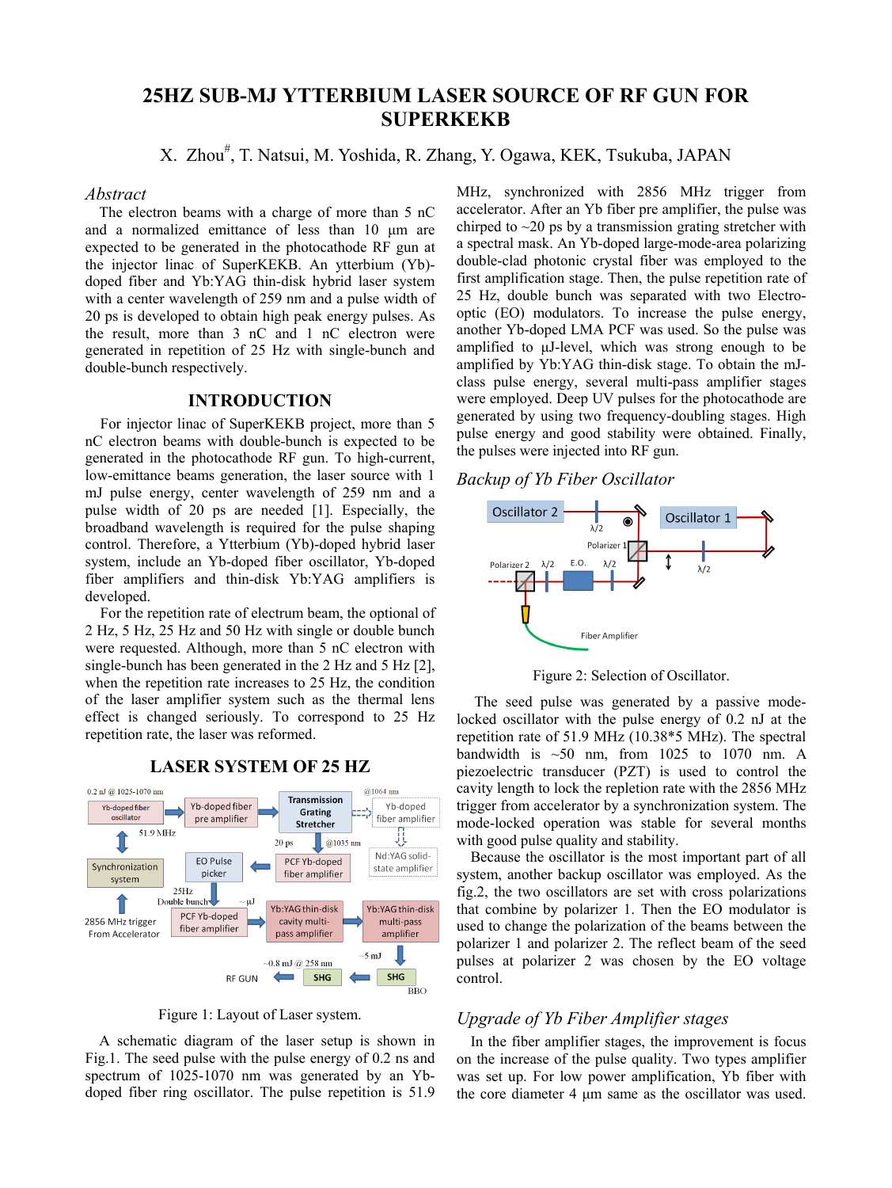# **25HZ SUB-MJ YTTERBIUM LASER SOURCE OF RF GUN FOR SUPERKEKB**

X. Zhou<sup>#</sup>, T. Natsui, M. Yoshida, R. Zhang, Y. Ogawa, KEK, Tsukuba, JAPAN

## *Abstract*

The electron beams with a charge of more than 5 nC and a normalized emittance of less than 10 μm are expected to be generated in the photocathode RF gun at the injector linac of SuperKEKB. An ytterbium (Yb) doped fiber and Yb:YAG thin-disk hybrid laser system with a center wavelength of 259 nm and a pulse width of 20 ps is developed to obtain high peak energy pulses. As the result, more than 3 nC and 1 nC electron were generated in repetition of 25 Hz with single-bunch and double-bunch respectively.

## **INTRODUCTION**

For injector linac of SuperKEKB project, more than 5 nC electron beams with double-bunch is expected to be generated in the photocathode RF gun. To high-current, low-emittance beams generation, the laser source with 1 mJ pulse energy, center wavelength of 259 nm and a pulse width of 20 ps are needed [1]. Especially, the broadband wavelength is required for the pulse shaping control. Therefore, a Ytterbium (Yb)-doped hybrid laser system, include an Yb-doped fiber oscillator, Yb-doped fiber amplifiers and thin-disk Yb:YAG amplifiers is developed.

For the repetition rate of electrum beam, the optional of 2 Hz, 5 Hz, 25 Hz and 50 Hz with single or double bunch were requested. Although, more than 5 nC electron with single-bunch has been generated in the 2 Hz and 5 Hz [2], when the repetition rate increases to 25 Hz, the condition of the laser amplifier system such as the thermal lens effect is changed seriously. To correspond to 25 Hz repetition rate, the laser was reformed.

 $@1064$  nm  $0.2 \text{ nJ}$  @ 1025-1070 nn Transmission Yb-doped fiber Yb-doped Yb-doped fiber Grating pre amplifier fiber amplifier oscillator Stretcher 51.9 MHz Л 20 ps  $\Box$  @1035 nm Nd:YAG solid-EO Pulse PCF Yb-doned Synchronization state amplifier picker fiber amplifier system  $25Hz$ Double bunch пJ Yb:YAG thin-disk Yb:YAG thin-disk PCF Yb-doped 2856 MHz trigger cavity multimulti-pass fiber amplifier From Accelerator pass amplifier amplifier  $-5 \text{ mJ}$  $-0.8$  mJ $@$  258 nm  $\leftarrow$ SHG **SHG RF GUN**  $\overline{B}BO$ 

**LASER SYSTEM OF 25 HZ** 

Figure 1: Layout of Laser system.

A schematic diagram of the laser setup is shown in Fig.1. The seed pulse with the pulse energy of 0.2 ns and spectrum of 1025-1070 nm was generated by an Ybdoped fiber ring oscillator. The pulse repetition is 51.9

MHz, synchronized with 2856 MHz trigger from accelerator. After an Yb fiber pre amplifier, the pulse was chirped to  $\sim$ 20 ps by a transmission grating stretcher with a spectral mask. An Yb-doped large-mode-area polarizing double-clad photonic crystal fiber was employed to the first amplification stage. Then, the pulse repetition rate of 25 Hz, double bunch was separated with two Electrooptic (EO) modulators. To increase the pulse energy, another Yb-doped LMA PCF was used. So the pulse was amplified to μJ-level, which was strong enough to be amplified by Yb:YAG thin-disk stage. To obtain the mJclass pulse energy, several multi-pass amplifier stages were employed. Deep UV pulses for the photocathode are generated by using two frequency-doubling stages. High pulse energy and good stability were obtained. Finally, the pulses were injected into RF gun.

*Backup of Yb Fiber Oscillator* 



Figure 2: Selection of Oscillator.

 The seed pulse was generated by a passive modelocked oscillator with the pulse energy of 0.2 nJ at the repetition rate of 51.9 MHz (10.38\*5 MHz). The spectral bandwidth is  $\sim 50$  nm, from 1025 to 1070 nm. A piezoelectric transducer (PZT) is used to control the cavity length to lock the repletion rate with the 2856 MHz trigger from accelerator by a synchronization system. The mode-locked operation was stable for several months with good pulse quality and stability.

Because the oscillator is the most important part of all system, another backup oscillator was employed. As the fig.2, the two oscillators are set with cross polarizations that combine by polarizer 1. Then the EO modulator is used to change the polarization of the beams between the polarizer 1 and polarizer 2. The reflect beam of the seed pulses at polarizer 2 was chosen by the EO voltage control.

## *Upgrade of Yb Fiber Amplifier stages*

In the fiber amplifier stages, the improvement is focus on the increase of the pulse quality. Two types amplifier was set up. For low power amplification, Yb fiber with the core diameter 4 μm same as the oscillator was used.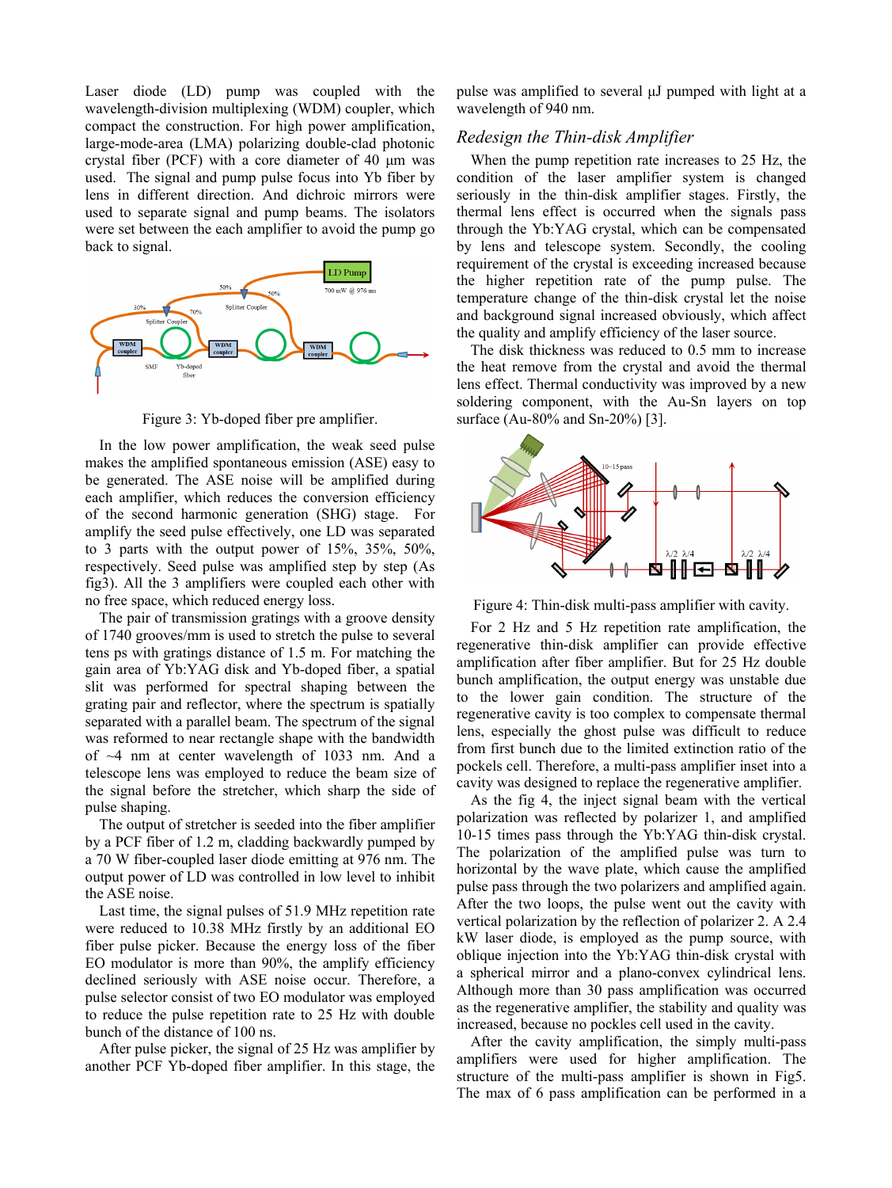Laser diode (LD) pump was coupled with the wavelength-division multiplexing (WDM) coupler, which compact the construction. For high power amplification, large-mode-area (LMA) polarizing double-clad photonic crystal fiber (PCF) with a core diameter of 40 μm was used. The signal and pump pulse focus into Yb fiber by lens in different direction. And dichroic mirrors were used to separate signal and pump beams. The isolators were set between the each amplifier to avoid the pump go back to signal.



Figure 3: Yb-doped fiber pre amplifier.

In the low power amplification, the weak seed pulse makes the amplified spontaneous emission (ASE) easy to be generated. The ASE noise will be amplified during each amplifier, which reduces the conversion efficiency of the second harmonic generation (SHG) stage. For amplify the seed pulse effectively, one LD was separated to 3 parts with the output power of 15%, 35%, 50%, respectively. Seed pulse was amplified step by step (As fig3). All the 3 amplifiers were coupled each other with no free space, which reduced energy loss.

The pair of transmission gratings with a groove density of 1740 grooves/mm is used to stretch the pulse to several tens ps with gratings distance of 1.5 m. For matching the gain area of Yb:YAG disk and Yb-doped fiber, a spatial slit was performed for spectral shaping between the grating pair and reflector, where the spectrum is spatially separated with a parallel beam. The spectrum of the signal was reformed to near rectangle shape with the bandwidth of ~4 nm at center wavelength of 1033 nm. And a telescope lens was employed to reduce the beam size of the signal before the stretcher, which sharp the side of pulse shaping.

The output of stretcher is seeded into the fiber amplifier by a PCF fiber of 1.2 m, cladding backwardly pumped by a 70 W fiber-coupled laser diode emitting at 976 nm. The output power of LD was controlled in low level to inhibit the ASE noise.

Last time, the signal pulses of 51.9 MHz repetition rate were reduced to 10.38 MHz firstly by an additional EO fiber pulse picker. Because the energy loss of the fiber EO modulator is more than 90%, the amplify efficiency declined seriously with ASE noise occur. Therefore, a pulse selector consist of two EO modulator was employed to reduce the pulse repetition rate to 25 Hz with double bunch of the distance of 100 ns.

After pulse picker, the signal of 25 Hz was amplifier by another PCF Yb-doped fiber amplifier. In this stage, the pulse was amplified to several μJ pumped with light at a wavelength of 940 nm.

# *Redesign the Thin-disk Amplifier*

When the pump repetition rate increases to 25 Hz, the condition of the laser amplifier system is changed seriously in the thin-disk amplifier stages. Firstly, the thermal lens effect is occurred when the signals pass through the Yb:YAG crystal, which can be compensated by lens and telescope system. Secondly, the cooling requirement of the crystal is exceeding increased because the higher repetition rate of the pump pulse. The temperature change of the thin-disk crystal let the noise and background signal increased obviously, which affect the quality and amplify efficiency of the laser source.

The disk thickness was reduced to 0.5 mm to increase the heat remove from the crystal and avoid the thermal lens effect. Thermal conductivity was improved by a new soldering component, with the Au-Sn layers on top surface (Au-80% and Sn-20%) [3].



Figure 4: Thin-disk multi-pass amplifier with cavity.

For 2 Hz and 5 Hz repetition rate amplification, the regenerative thin-disk amplifier can provide effective amplification after fiber amplifier. But for 25 Hz double bunch amplification, the output energy was unstable due to the lower gain condition. The structure of the regenerative cavity is too complex to compensate thermal lens, especially the ghost pulse was difficult to reduce from first bunch due to the limited extinction ratio of the pockels cell. Therefore, a multi-pass amplifier inset into a cavity was designed to replace the regenerative amplifier.

As the fig 4, the inject signal beam with the vertical polarization was reflected by polarizer 1, and amplified 10-15 times pass through the Yb:YAG thin-disk crystal. The polarization of the amplified pulse was turn to horizontal by the wave plate, which cause the amplified pulse pass through the two polarizers and amplified again. After the two loops, the pulse went out the cavity with vertical polarization by the reflection of polarizer 2. A 2.4 kW laser diode, is employed as the pump source, with oblique injection into the Yb:YAG thin-disk crystal with a spherical mirror and a plano-convex cylindrical lens. Although more than 30 pass amplification was occurred as the regenerative amplifier, the stability and quality was increased, because no pockles cell used in the cavity.

After the cavity amplification, the simply multi-pass amplifiers were used for higher amplification. The structure of the multi-pass amplifier is shown in Fig5. The max of 6 pass amplification can be performed in a